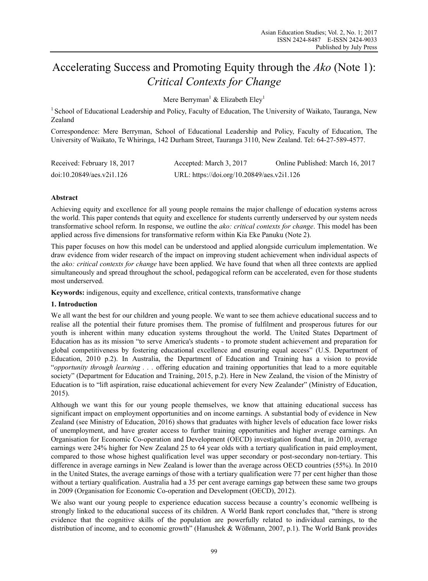# Accelerating Success and Promoting Equity through the *Ako* (Note 1): *Critical Contexts for Change*

Mere Berryman<sup>1</sup> & Elizabeth Eley<sup>1</sup>

<sup>1</sup> School of Educational Leadership and Policy, Faculty of Education, The University of Waikato, Tauranga, New Zealand

Correspondence: Mere Berryman, School of Educational Leadership and Policy, Faculty of Education, The University of Waikato, Te Whiringa, 142 Durham Street, Tauranga 3110, New Zealand. Tel: 64-27-589-4577.

| Received: February 18, 2017 | Accepted: March 3, 2017                    | Online Published: March 16, 2017 |
|-----------------------------|--------------------------------------------|----------------------------------|
| doi:10.20849/aes.v2i1.126   | URL: https://doi.org/10.20849/aes.v2i1.126 |                                  |

# **Abstract**

Achieving equity and excellence for all young people remains the major challenge of education systems across the world. This paper contends that equity and excellence for students currently underserved by our system needs transformative school reform. In response, we outline the *ako: critical contexts for change*. This model has been applied across five dimensions for transformative reform within Kia Eke Panuku (Note 2).

This paper focuses on how this model can be understood and applied alongside curriculum implementation. We draw evidence from wider research of the impact on improving student achievement when individual aspects of the *ako: critical contexts for change* have been applied. We have found that when all three contexts are applied simultaneously and spread throughout the school, pedagogical reform can be accelerated, even for those students most underserved.

**Keywords:** indigenous, equity and excellence, critical contexts, transformative change

# **1. Introduction**

We all want the best for our children and young people. We want to see them achieve educational success and to realise all the potential their future promises them. The promise of fulfilment and prosperous futures for our youth is inherent within many education systems throughout the world. The United States Department of Education has as its mission "to serve America's students - to promote student achievement and preparation for global competitiveness by fostering educational excellence and ensuring equal access" (U.S. Department of Education, 2010 p.2). In Australia, the Department of Education and Training has a vision to provide "*opportunity through learning . . .* offering education and training opportunities that lead to a more equitable society" (Department for Education and Training, 2015, p.2). Here in New Zealand, the vision of the Ministry of Education is to "lift aspiration, raise educational achievement for every New Zealander" (Ministry of Education, 2015).

Although we want this for our young people themselves, we know that attaining educational success has significant impact on employment opportunities and on income earnings. A substantial body of evidence in New Zealand (see Ministry of Education, 2016) shows that graduates with higher levels of education face lower risks of unemployment, and have greater access to further training opportunities and higher average earnings. An Organisation for Economic Co-operation and Development (OECD) investigation found that, in 2010, average earnings were 24% higher for New Zealand 25 to 64 year olds with a tertiary qualification in paid employment, compared to those whose highest qualification level was upper secondary or post-secondary non-tertiary. This difference in average earnings in New Zealand is lower than the average across OECD countries (55%). In 2010 in the United States, the average earnings of those with a tertiary qualification were 77 per cent higher than those without a tertiary qualification. Australia had a 35 per cent average earnings gap between these same two groups in 2009 (Organisation for Economic Co-operation and Development (OECD), 2012).

We also want our young people to experience education success because a country's economic wellbeing is strongly linked to the educational success of its children. A World Bank report concludes that, "there is strong evidence that the cognitive skills of the population are powerfully related to individual earnings, to the distribution of income, and to economic growth" (Hanushek & Wößmann, 2007, p.1). The World Bank provides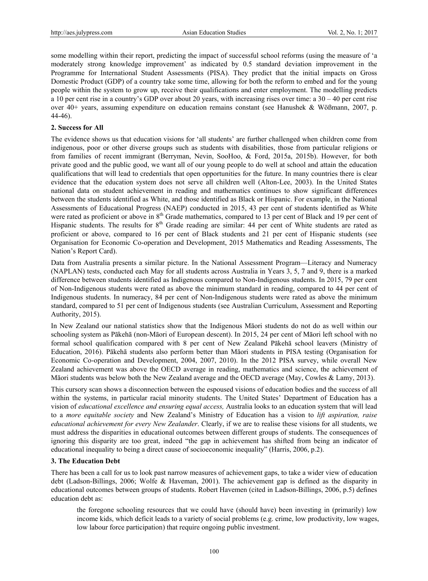some modelling within their report, predicting the impact of successful school reforms (using the measure of 'a moderately strong knowledge improvement' as indicated by 0.5 standard deviation improvement in the Programme for International Student Assessments (PISA). They predict that the initial impacts on Gross Domestic Product (GDP) of a country take some time, allowing for both the reform to embed and for the young people within the system to grow up, receive their qualifications and enter employment. The modelling predicts a 10 per cent rise in a country's GDP over about 20 years, with increasing rises over time: a  $30 - 40$  per cent rise over 40+ years, assuming expenditure on education remains constant (see Hanushek & Wößmann, 2007, p. 44-46).

#### **2. Success for All**

The evidence shows us that education visions for 'all students' are further challenged when children come from indigenous, poor or other diverse groups such as students with disabilities, those from particular religions or from families of recent immigrant (Berryman, Nevin, SooHoo, & Ford, 2015a, 2015b). However, for both private good and the public good, we want all of our young people to do well at school and attain the education qualifications that will lead to credentials that open opportunities for the future. In many countries there is clear evidence that the education system does not serve all children well (Alton-Lee, 2003). In the United States national data on student achievement in reading and mathematics continues to show significant differences between the students identified as White, and those identified as Black or Hispanic. For example, in the National Assessments of Educational Progress (NAEP) conducted in 2015, 43 per cent of students identified as White were rated as proficient or above in 8<sup>th</sup> Grade mathematics, compared to 13 per cent of Black and 19 per cent of Hispanic students. The results for 8<sup>th</sup> Grade reading are similar: 44 per cent of White students are rated as proficient or above, compared to 16 per cent of Black students and 21 per cent of Hispanic students (see Organisation for Economic Co-operation and Development, 2015 Mathematics and Reading Assessments, The Nation's Report Card).

Data from Australia presents a similar picture. In the National Assessment Program—Literacy and Numeracy (NAPLAN) tests, conducted each May for all students across Australia in Years 3, 5, 7 and 9, there is a marked difference between students identified as Indigenous compared to Non-Indigenous students. In 2015, 79 per cent of Non-Indigenous students were rated as above the minimum standard in reading, compared to 44 per cent of Indigenous students. In numeracy, 84 per cent of Non-Indigenous students were rated as above the minimum standard, compared to 51 per cent of Indigenous students (see Australian Curriculum, Assessment and Reporting Authority, 2015).

In New Zealand our national statistics show that the Indigenous Māori students do not do as well within our schooling system as Pākehā (non-Māori of European descent). In 2015, 24 per cent of Māori left school with no formal school qualification compared with 8 per cent of New Zealand Pākehā school leavers (Ministry of Education, 2016). Pākehā students also perform better than Māori students in PISA testing (Organisation for Economic Co-operation and Development, 2004, 2007, 2010). In the 2012 PISA survey, while overall New Zealand achievement was above the OECD average in reading, mathematics and science, the achievement of Māori students was below both the New Zealand average and the OECD average (May, Cowles & Lamy, 2013).

This cursory scan shows a disconnection between the espoused visions of education bodies and the success of all within the systems, in particular racial minority students. The United States' Department of Education has a vision of *educational excellence and ensuring equal access,* Australia looks to an education system that will lead to a *more equitable society* and New Zealand's Ministry of Education has a vision to *lift aspiration, raise educational achievement for every New Zealander*. Clearly, if we are to realise these visions for all students, we must address the disparities in educational outcomes between different groups of students. The consequences of ignoring this disparity are too great, indeed "the gap in achievement has shifted from being an indicator of educational inequality to being a direct cause of socioeconomic inequality" (Harris, 2006, p.2).

#### **3. The Education Debt**

There has been a call for us to look past narrow measures of achievement gaps, to take a wider view of education debt (Ladson-Billings, 2006; Wolfe & Haveman, 2001). The achievement gap is defined as the disparity in educational outcomes between groups of students. Robert Havemen (cited in Ladson-Billings, 2006, p.5) defines education debt as:

the foregone schooling resources that we could have (should have) been investing in (primarily) low income kids, which deficit leads to a variety of social problems (e.g. crime, low productivity, low wages, low labour force participation) that require ongoing public investment.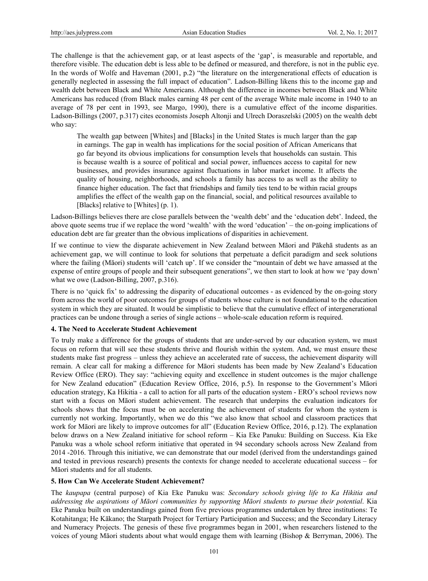The challenge is that the achievement gap, or at least aspects of the 'gap', is measurable and reportable, and therefore visible. The education debt is less able to be defined or measured, and therefore, is not in the public eye. In the words of Wolfe and Haveman (2001, p.2) "the literature on the intergenerational effects of education is generally neglected in assessing the full impact of education". Ladson-Billing likens this to the income gap and wealth debt between Black and White Americans. Although the difference in incomes between Black and White Americans has reduced (from Black males earning 48 per cent of the average White male income in 1940 to an average of 78 per cent in 1993, see Margo, 1990), there is a cumulative effect of the income disparities. Ladson-Billings (2007, p.317) cites economists Joseph Altonji and Ulrech Doraszelski (2005) on the wealth debt who say:

The wealth gap between [Whites] and [Blacks] in the United States is much larger than the gap in earnings. The gap in wealth has implications for the social position of African Americans that go far beyond its obvious implications for consumption levels that households can sustain. This is because wealth is a source of political and social power, influences access to capital for new businesses, and provides insurance against fluctuations in labor market income. It affects the quality of housing, neighborhoods, and schools a family has access to as well as the ability to finance higher education. The fact that friendships and family ties tend to be within racial groups amplifies the effect of the wealth gap on the financial, social, and political resources available to [Blacks] relative to [Whites] (p. 1).

Ladson-Billings believes there are close parallels between the 'wealth debt' and the 'education debt'. Indeed, the above quote seems true if we replace the word 'wealth' with the word 'education' – the on-going implications of education debt are far greater than the obvious implications of disparities in achievement.

If we continue to view the disparate achievement in New Zealand between Māori and Pākehā students as an achievement gap, we will continue to look for solutions that perpetuate a deficit paradigm and seek solutions where the failing (Māori) students will 'catch up'. If we consider the "mountain of debt we have amassed at the expense of entire groups of people and their subsequent generations", we then start to look at how we 'pay down' what we owe (Ladson-Billing, 2007, p.316).

There is no 'quick fix' to addressing the disparity of educational outcomes - as evidenced by the on-going story from across the world of poor outcomes for groups of students whose culture is not foundational to the education system in which they are situated. It would be simplistic to believe that the cumulative effect of intergenerational practices can be undone through a series of single actions – whole-scale education reform is required.

# **4. The Need to Accelerate Student Achievement**

To truly make a difference for the groups of students that are under-served by our education system, we must focus on reform that will see these students thrive and flourish within the system. And, we must ensure these students make fast progress – unless they achieve an accelerated rate of success, the achievement disparity will remain. A clear call for making a difference for Māori students has been made by New Zealand's Education Review Office (ERO). They say: "achieving equity and excellence in student outcomes is the major challenge for New Zealand education" (Education Review Office, 2016, p.5). In response to the Government's Māori education strategy, Ka Hikitia - a call to action for all parts of the education system - ERO's school reviews now start with a focus on Māori student achievement. The research that underpins the evaluation indicators for schools shows that the focus must be on accelerating the achievement of students for whom the system is currently not working. Importantly, when we do this "we also know that school and classroom practices that work for Māori are likely to improve outcomes for all" (Education Review Office, 2016, p.12). The explanation below draws on a New Zealand initiative for school reform – Kia Eke Panuku: Building on Success. Kia Eke Panuku was a whole school reform initiative that operated in 94 secondary schools across New Zealand from 2014 -2016. Through this initiative, we can demonstrate that our model (derived from the understandings gained and tested in previous research) presents the contexts for change needed to accelerate educational success – for Māori students and for all students.

#### **5. How Can We Accelerate Student Achievement?**

The *kaupapa* (central purpose) of Kia Eke Panuku was: *Secondary schools giving life to Ka Hikitia and addressing the aspirations of Māori communities by supporting Māori students to pursue their potential*. Kia Eke Panuku built on understandings gained from five previous programmes undertaken by three institutions: Te Kotahitanga; He Kākano; the Starpath Project for Tertiary Participation and Success; and the Secondary Literacy and Numeracy Projects. The genesis of these five programmes began in 2001, when researchers listened to the voices of young Māori students about what would engage them with learning (Bishop & Berryman, 2006). The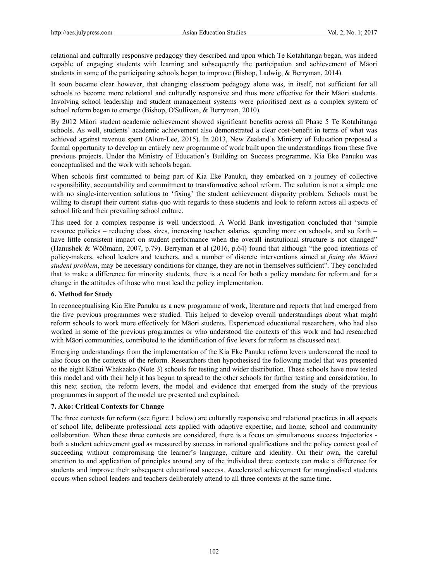relational and culturally responsive pedagogy they described and upon which Te Kotahitanga began, was indeed capable of engaging students with learning and subsequently the participation and achievement of Māori students in some of the participating schools began to improve (Bishop, Ladwig, & Berryman, 2014).

It soon became clear however, that changing classroom pedagogy alone was, in itself, not sufficient for all schools to become more relational and culturally responsive and thus more effective for their Māori students. Involving school leadership and student management systems were prioritised next as a complex system of school reform began to emerge (Bishop, O'Sullivan, & Berryman, 2010).

By 2012 Māori student academic achievement showed significant benefits across all Phase 5 Te Kotahitanga schools. As well, students' academic achievement also demonstrated a clear cost-benefit in terms of what was achieved against revenue spent (Alton-Lee, 2015). In 2013, New Zealand's Ministry of Education proposed a formal opportunity to develop an entirely new programme of work built upon the understandings from these five previous projects. Under the Ministry of Education's Building on Success programme, Kia Eke Panuku was conceptualised and the work with schools began.

When schools first committed to being part of Kia Eke Panuku, they embarked on a journey of collective responsibility, accountability and commitment to transformative school reform. The solution is not a simple one with no single-intervention solutions to 'fixing' the student achievement disparity problem. Schools must be willing to disrupt their current status quo with regards to these students and look to reform across all aspects of school life and their prevailing school culture.

This need for a complex response is well understood. A World Bank investigation concluded that "simple resource policies – reducing class sizes, increasing teacher salaries, spending more on schools, and so forth – have little consistent impact on student performance when the overall institutional structure is not changed" (Hanushek & Wößmann, 2007, p.79). Berryman et al (2016, p.64) found that although "the good intentions of policy-makers, school leaders and teachers, and a number of discrete interventions aimed at *fixing the Māori student problem*, may be necessary conditions for change, they are not in themselves sufficient". They concluded that to make a difference for minority students, there is a need for both a policy mandate for reform and for a change in the attitudes of those who must lead the policy implementation.

# **6. Method for Study**

In reconceptualising Kia Eke Panuku as a new programme of work, literature and reports that had emerged from the five previous programmes were studied. This helped to develop overall understandings about what might reform schools to work more effectively for Māori students. Experienced educational researchers, who had also worked in some of the previous programmes or who understood the contexts of this work and had researched with Māori communities, contributed to the identification of five levers for reform as discussed next.

Emerging understandings from the implementation of the Kia Eke Panuku reform levers underscored the need to also focus on the contexts of the reform. Researchers then hypothesised the following model that was presented to the eight Kāhui Whakaako (Note 3) schools for testing and wider distribution. These schools have now tested this model and with their help it has begun to spread to the other schools for further testing and consideration. In this next section, the reform levers, the model and evidence that emerged from the study of the previous programmes in support of the model are presented and explained.

# **7. Ako: Critical Contexts for Change**

The three contexts for reform (see figure 1 below) are culturally responsive and relational practices in all aspects of school life; deliberate professional acts applied with adaptive expertise, and home, school and community collaboration. When these three contexts are considered, there is a focus on simultaneous success trajectories both a student achievement goal as measured by success in national qualifications and the policy context goal of succeeding without compromising the learner's language, culture and identity. On their own, the careful attention to and application of principles around any of the individual three contexts can make a difference for students and improve their subsequent educational success. Accelerated achievement for marginalised students occurs when school leaders and teachers deliberately attend to all three contexts at the same time.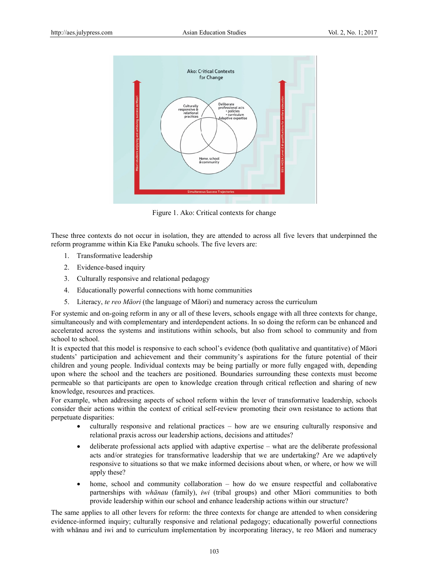

Figure 1. Ako: Critical contexts for change

These three contexts do not occur in isolation, they are attended to across all five levers that underpinned the reform programme within Kia Eke Panuku schools. The five levers are:

- 1. Transformative leadership
- 2. E Evidence-based d inquiry
- 3. Culturally responsive and relational pedagogy
- 4. Educationally powerful connections with home communities
- 5. L Literacy, *te reo Māori* (the language of Māori) and numeracy across the curriculum

For systemic and on-going reform in any or all of these levers, schools engage with all three contexts for change, simultaneously and with complementary and interdependent actions. In so doing the reform can be enhanced and accelerated across the systems and institutions within schools, but also from school to community and from school to s school.

It is expected that this model is responsive to each school's evidence (both qualitative and quantitative) of Māori students' participation and achievement and their community's aspirations for the future potential of their children and young people. Individual contexts may be being partially or more fully engaged with, depending upon where the school and the teachers are positioned. Boundaries surrounding these contexts must become permeable so that participants are open to knowledge creation through critical reflection and sharing of new knowledge, resources and practices.

For example, when addressing aspects of school reform within the lever of transformative leadership, schools consider their actions within the context of critical self-review promoting their own resistance to actions that perpetuate disparities:

- $\bullet$ culturally responsive and relational practices – how are we ensuring culturally responsive and relational praxis across our leadership actions, decisions and attitudes?
- $\bullet$ deliberate professional acts applied with adaptive expertise – what are the deliberate professional acts and/or strategies for transformative leadership that we are undertaking? Are we adaptively responsive to situations so that we make informed decisions about when, or where, or how we will apply these?
- $\bullet$ home, school and community collaboration – how do we ensure respectful and collaborative partnerships with *whānau* (family), *iwi* (tribal groups) and other Māori communities to both provide leadership within our school and enhance leadership actions within our structure?

The same applies to all other levers for reform: the three contexts for change are attended to when considering evidence-informed inquiry; culturally responsive and relational pedagogy; educationally powerful connections with whānau and iwi and to curriculum implementation by incorporating literacy, te reo Māori and numeracy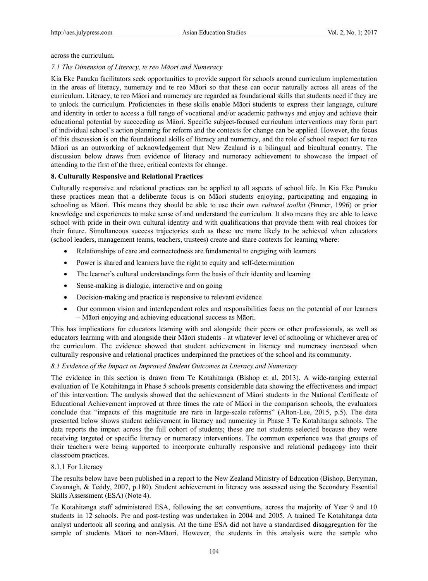across the curriculum.

#### *7.1 The Dimension of Literacy, te reo Māori and Numeracy*

Kia Eke Panuku facilitators seek opportunities to provide support for schools around curriculum implementation in the areas of literacy, numeracy and te reo Māori so that these can occur naturally across all areas of the curriculum. Literacy, te reo Māori and numeracy are regarded as foundational skills that students need if they are to unlock the curriculum. Proficiencies in these skills enable Māori students to express their language, culture and identity in order to access a full range of vocational and/or academic pathways and enjoy and achieve their educational potential by succeeding as Māori. Specific subject-focused curriculum interventions may form part of individual school's action planning for reform and the contexts for change can be applied. However, the focus of this discussion is on the foundational skills of literacy and numeracy, and the role of school respect for te reo Māori as an outworking of acknowledgement that New Zealand is a bilingual and bicultural country. The discussion below draws from evidence of literacy and numeracy achievement to showcase the impact of attending to the first of the three, critical contexts for change.

#### **8. Culturally Responsive and Relational Practices**

Culturally responsive and relational practices can be applied to all aspects of school life. In Kia Eke Panuku these practices mean that a deliberate focus is on Māori students enjoying, participating and engaging in schooling as Māori. This means they should be able to use their own *cultural toolkit* (Bruner, 1996) or prior knowledge and experiences to make sense of and understand the curriculum. It also means they are able to leave school with pride in their own cultural identity and with qualifications that provide them with real choices for their future. Simultaneous success trajectories such as these are more likely to be achieved when educators (school leaders, management teams, teachers, trustees) create and share contexts for learning where:

- Relationships of care and connectedness are fundamental to engaging with learners
- Power is shared and learners have the right to equity and self-determination
- The learner's cultural understandings form the basis of their identity and learning
- Sense-making is dialogic, interactive and on going
- Decision-making and practice is responsive to relevant evidence
- Our common vision and interdependent roles and responsibilities focus on the potential of our learners – Māori enjoying and achieving educational success as Māori.

This has implications for educators learning with and alongside their peers or other professionals, as well as educators learning with and alongside their Māori students - at whatever level of schooling or whichever area of the curriculum. The evidence showed that student achievement in literacy and numeracy increased when culturally responsive and relational practices underpinned the practices of the school and its community.

#### *8.1 Evidence of the Impact on Improved Student Outcomes in Literacy and Numeracy*

The evidence in this section is drawn from Te Kotahitanga (Bishop et al, 2013). A wide-ranging external evaluation of Te Kotahitanga in Phase 5 schools presents considerable data showing the effectiveness and impact of this intervention. The analysis showed that the achievement of Māori students in the National Certificate of Educational Achievement improved at three times the rate of Māori in the comparison schools, the evaluators conclude that "impacts of this magnitude are rare in large-scale reforms" (Alton-Lee, 2015, p.5). The data presented below shows student achievement in literacy and numeracy in Phase 3 Te Kotahitanga schools. The data reports the impact across the full cohort of students; these are not students selected because they were receiving targeted or specific literacy or numeracy interventions. The common experience was that groups of their teachers were being supported to incorporate culturally responsive and relational pedagogy into their classroom practices.

#### 8.1.1 For Literacy

The results below have been published in a report to the New Zealand Ministry of Education (Bishop, Berryman, Cavanagh, & Teddy, 2007, p.180). Student achievement in literacy was assessed using the Secondary Essential Skills Assessment (ESA) (Note 4).

Te Kotahitanga staff administered ESA, following the set conventions, across the majority of Year 9 and 10 students in 12 schools. Pre and post-testing was undertaken in 2004 and 2005. A trained Te Kotahitanga data analyst undertook all scoring and analysis. At the time ESA did not have a standardised disaggregation for the sample of students Māori to non-Māori. However, the students in this analysis were the sample who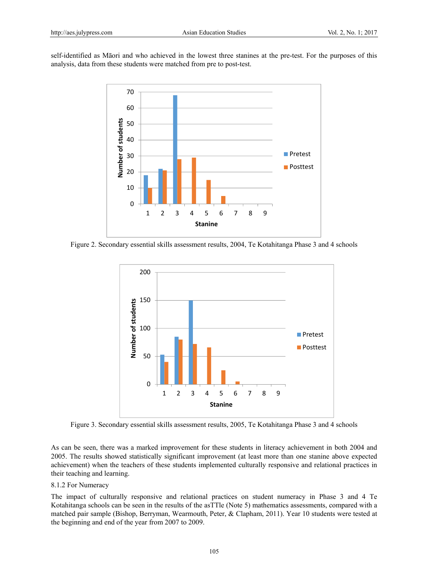self-identified as Māori and who achieved in the lowest three stanines at the pre-test. For the purposes of this analysis, data from these students were matched from pre to post-test.



Figure 2. Secondary essential skills assessment results, 2004, Te Kotahitanga Phase 3 and 4 schools



Figure 3. Secondary essential skills assessment results, 2005, Te Kotahitanga Phase 3 and 4 schools

As can be seen, there was a marked improvement for these students in literacy achievement in both 2004 and 2005. The results showed statistically significant improvement (at least more than one stanine above expected achievement) when the teachers of these students implemented culturally responsive and relational practices in their teaching and learning.

#### 8.1.2 For Numeracy

The impact of culturally responsive and relational practices on student numeracy in Phase 3 and 4 Te Kotahitanga schools can be seen in the results of the asTTle (Note 5) mathematics assessments, compared with a matched pair sample (Bishop, Berryman, Wearmouth, Peter, & Clapham, 2011). Year 10 students were tested at the beginning and end of the year from 2007 to 2009.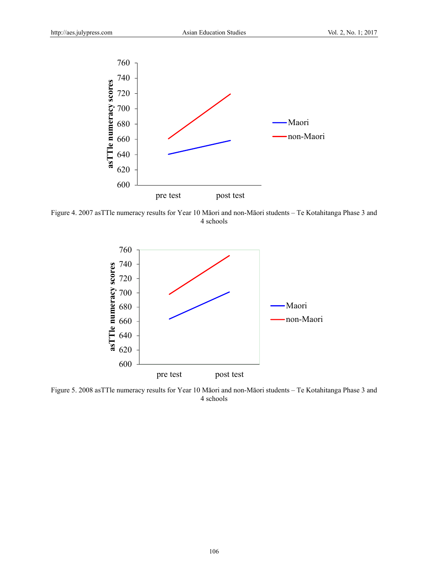

Figure 4. 2007 asTTle numeracy results for Year 10 Māori and non-Māori students – Te Kotahitanga Phase 3 and 4 schools



Figure 5. 2008 asTTle numeracy results for Year 10 Māori and non-Māori students – Te Kotahitanga Phase 3 and 4 schools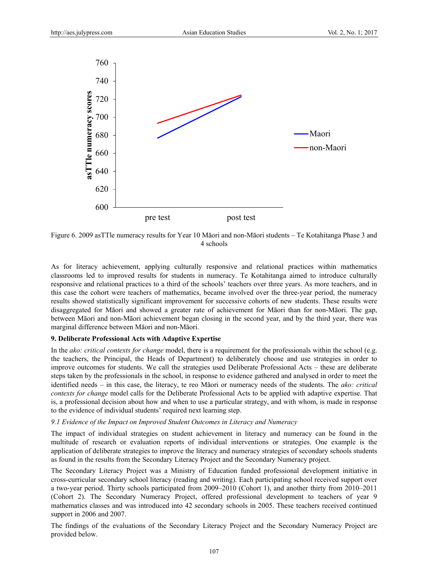

Figure 6. 2009 asTTle numeracy results for Year 10 Māori and non-Māori students – Te Kotahitanga Phase 3 and 4 schools

As for literacy achievement, applying culturally responsive and relational practices within mathematics classrooms led to improved results for students in numeracy. Te Kotahitanga aimed to introduce culturally responsive and relational practices to a third of the schools' teachers over three years. As more teachers, and in this case the cohort were teachers of mathematics, became involved over the three-year period, the numeracy results showed statistically significant improvement for successive cohorts of new students. These results were disaggregated for Māori and showed a greater rate of achievement for Māori than for non-Māori. The gap, between Māori and non-Māori achievement began closing in the second year, and by the third year, there was marginal difference between Māori and non-Māori.

#### **9. Deliberate Professional Acts with Adaptive Expertise**

In the *ako: critical contexts for change* model, there is a requirement for the professionals within the school (e.g. the teachers, the Principal, the Heads of Department) to deliberately choose and use strategies in order to improve outcomes for students. We call the strategies used Deliberate Professional Acts – these are deliberate steps taken by the professionals in the school, in response to evidence gathered and analysed in order to meet the identified needs – in this case, the literacy, te reo Māori or numeracy needs of the students. The *ako: critical contexts for change* model calls for the Deliberate Professional Acts to be applied with adaptive expertise. That is, a professional decision about how and when to use a particular strategy, and with whom, is made in response to the evidence of individual students' required next learning step.

#### *9.1 Evidence of the Impact on Improved Student Outcomes in Literacy and Numeracy*

The impact of individual strategies on student achievement in literacy and numeracy can be found in the multitude of research or evaluation reports of individual interventions or strategies. One example is the application of deliberate strategies to improve the literacy and numeracy strategies of secondary schools students as found in the results from the Secondary Literacy Project and the Secondary Numeracy project.

The Secondary Literacy Project was a Ministry of Education funded professional development initiative in cross-curricular secondary school literacy (reading and writing). Each participating school received support over a two-year period. Thirty schools participated from 2009–2010 (Cohort 1), and another thirty from 2010–2011 (Cohort 2). The Secondary Numeracy Project, offered professional development to teachers of year 9 mathematics classes and was introduced into 42 secondary schools in 2005. These teachers received continued support in 2006 and 2007.

The findings of the evaluations of the Secondary Literacy Project and the Secondary Numeracy Project are provided below.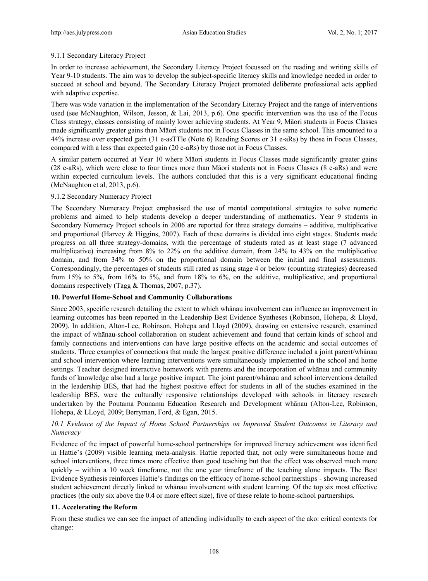# 9.1.1 Secondary Literacy Project

In order to increase achievement, the Secondary Literacy Project focussed on the reading and writing skills of Year 9-10 students. The aim was to develop the subject-specific literacy skills and knowledge needed in order to succeed at school and beyond. The Secondary Literacy Project promoted deliberate professional acts applied with adaptive expertise.

There was wide variation in the implementation of the Secondary Literacy Project and the range of interventions used (see McNaughton, Wilson, Jesson, & Lai, 2013, p.6). One specific intervention was the use of the Focus Class strategy, classes consisting of mainly lower achieving students. At Year 9, Māori students in Focus Classes made significantly greater gains than Māori students not in Focus Classes in the same school. This amounted to a 44% increase over expected gain (31 e-asTTle (Note 6) Reading Scores or 31 e-aRs) by those in Focus Classes, compared with a less than expected gain (20 e-aRs) by those not in Focus Classes.

A similar pattern occurred at Year 10 where Māori students in Focus Classes made significantly greater gains (28 e-aRs), which were close to four times more than Māori students not in Focus Classes (8 e-aRs) and were within expected curriculum levels. The authors concluded that this is a very significant educational finding (McNaughton et al, 2013, p.6).

# 9.1.2 Secondary Numeracy Project

The Secondary Numeracy Project emphasised the use of mental computational strategies to solve numeric problems and aimed to help students develop a deeper understanding of mathematics. Year 9 students in Secondary Numeracy Project schools in 2006 are reported for three strategy domains – additive, multiplicative and proportional (Harvey & Higgins, 2007). Each of these domains is divided into eight stages. Students made progress on all three strategy-domains, with the percentage of students rated as at least stage (7 advanced multiplicative) increasing from 8% to 22% on the additive domain, from 24% to 43% on the multiplicative domain, and from 34% to 50% on the proportional domain between the initial and final assessments. Correspondingly, the percentages of students still rated as using stage 4 or below (counting strategies) decreased from 15% to 5%, from 16% to 5%, and from 18% to 6%, on the additive, multiplicative, and proportional domains respectively (Tagg & Thomas, 2007, p.37).

# **10. Powerful Home-School and Community Collaborations**

Since 2003, specific research detailing the extent to which whānau involvement can influence an improvement in learning outcomes has been reported in the Leadership Best Evidence Syntheses (Robinson, Hohepa, & Lloyd, 2009). In addition, Alton-Lee, Robinson, Hohepa and Lloyd (2009), drawing on extensive research, examined the impact of whānau-school collaboration on student achievement and found that certain kinds of school and family connections and interventions can have large positive effects on the academic and social outcomes of students. Three examples of connections that made the largest positive difference included a joint parent/whānau and school intervention where learning interventions were simultaneously implemented in the school and home settings. Teacher designed interactive homework with parents and the incorporation of whānau and community funds of knowledge also had a large positive impact. The joint parent/whānau and school interventions detailed in the leadership BES, that had the highest positive effect for students in all of the studies examined in the leadership BES, were the culturally responsive relationships developed with schools in literacy research undertaken by the Poutama Pounamu Education Research and Development whānau (Alton-Lee, Robinson, Hohepa, & LLoyd, 2009; Berryman, Ford, & Egan, 2015.

# *10.1 Evidence of the Impact of Home School Partnerships on Improved Student Outcomes in Literacy and Numeracy*

Evidence of the impact of powerful home-school partnerships for improved literacy achievement was identified in Hattie's (2009) visible learning meta-analysis. Hattie reported that, not only were simultaneous home and school interventions, three times more effective than good teaching but that the effect was observed much more quickly – within a 10 week timeframe, not the one year timeframe of the teaching alone impacts. The Best Evidence Synthesis reinforces Hattie's findings on the efficacy of home-school partnerships - showing increased student achievement directly linked to whānau involvement with student learning. Of the top six most effective practices (the only six above the 0.4 or more effect size), five of these relate to home-school partnerships.

# **11. Accelerating the Reform**

From these studies we can see the impact of attending individually to each aspect of the ako: critical contexts for change: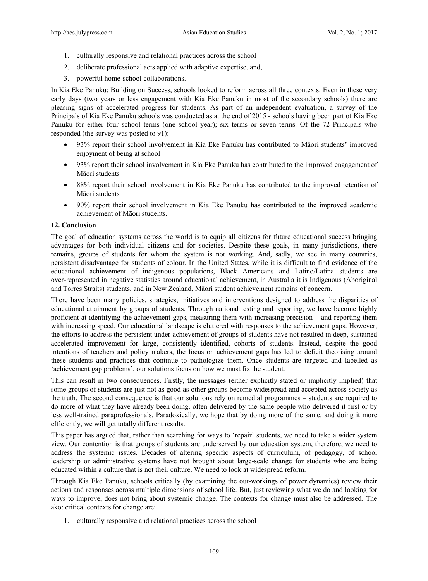- 1. culturally responsive and relational practices across the school
- 2. deliberate professional acts applied with adaptive expertise, and,
- 3. powerful home-school collaborations.

In Kia Eke Panuku: Building on Success, schools looked to reform across all three contexts. Even in these very early days (two years or less engagement with Kia Eke Panuku in most of the secondary schools) there are pleasing signs of accelerated progress for students. As part of an independent evaluation, a survey of the Principals of Kia Eke Panuku schools was conducted as at the end of 2015 - schools having been part of Kia Eke Panuku for either four school terms (one school year); six terms or seven terms. Of the 72 Principals who responded (the survey was posted to 91):

- 93% report their school involvement in Kia Eke Panuku has contributed to Māori students' improved enjoyment of being at school
- 93% report their school involvement in Kia Eke Panuku has contributed to the improved engagement of Māori students
- 88% report their school involvement in Kia Eke Panuku has contributed to the improved retention of Māori students
- 90% report their school involvement in Kia Eke Panuku has contributed to the improved academic achievement of Māori students.

#### **12. Conclusion**

The goal of education systems across the world is to equip all citizens for future educational success bringing advantages for both individual citizens and for societies. Despite these goals, in many jurisdictions, there remains, groups of students for whom the system is not working. And, sadly, we see in many countries, persistent disadvantage for students of colour. In the United States, while it is difficult to find evidence of the educational achievement of indigenous populations, Black Americans and Latino/Latina students are over-represented in negative statistics around educational achievement, in Australia it is Indigenous (Aboriginal and Torres Straits) students, and in New Zealand, Māori student achievement remains of concern.

There have been many policies, strategies, initiatives and interventions designed to address the disparities of educational attainment by groups of students. Through national testing and reporting, we have become highly proficient at identifying the achievement gaps, measuring them with increasing precision – and reporting them with increasing speed. Our educational landscape is cluttered with responses to the achievement gaps. However, the efforts to address the persistent under-achievement of groups of students have not resulted in deep, sustained accelerated improvement for large, consistently identified, cohorts of students. Instead, despite the good intentions of teachers and policy makers, the focus on achievement gaps has led to deficit theorising around these students and practices that continue to pathologize them. Once students are targeted and labelled as 'achievement gap problems', our solutions focus on how we must fix the student.

This can result in two consequences. Firstly, the messages (either explicitly stated or implicitly implied) that some groups of students are just not as good as other groups become widespread and accepted across society as the truth. The second consequence is that our solutions rely on remedial programmes – students are required to do more of what they have already been doing, often delivered by the same people who delivered it first or by less well-trained paraprofessionals. Paradoxically, we hope that by doing more of the same, and doing it more efficiently, we will get totally different results.

This paper has argued that, rather than searching for ways to 'repair' students, we need to take a wider system view. Our contention is that groups of students are underserved by our education system, therefore, we need to address the systemic issues. Decades of altering specific aspects of curriculum, of pedagogy, of school leadership or administrative systems have not brought about large-scale change for students who are being educated within a culture that is not their culture. We need to look at widespread reform.

Through Kia Eke Panuku, schools critically (by examining the out-workings of power dynamics) review their actions and responses across multiple dimensions of school life. But, just reviewing what we do and looking for ways to improve, does not bring about systemic change. The contexts for change must also be addressed. The ako: critical contexts for change are:

1. culturally responsive and relational practices across the school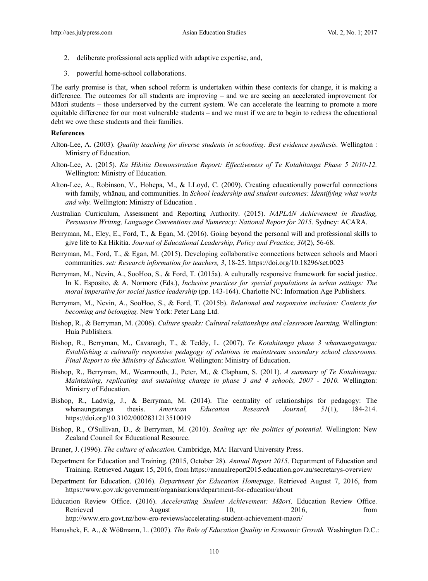- 2. deliberate professional acts applied with adaptive expertise, and,
- 3. powerful home-school collaborations.

The early promise is that, when school reform is undertaken within these contexts for change, it is making a difference. The outcomes for all students are improving – and we are seeing an accelerated improvement for Māori students – those underserved by the current system. We can accelerate the learning to promote a more equitable difference for our most vulnerable students – and we must if we are to begin to redress the educational debt we owe these students and their families.

#### **References**

- Alton-Lee, A. (2003). *Quality teaching for diverse students in schooling: Best evidence synthesis.* Wellington : Ministry of Education.
- Alton-Lee, A. (2015). *Ka Hikitia Demonstration Report: Effectiveness of Te Kotahitanga Phase 5 2010-12.* Wellington: Ministry of Education.
- Alton-Lee, A., Robinson, V., Hohepa, M., & LLoyd, C. (2009). Creating educationally powerful connections with family, whānau, and communities. In *School leadership and student outcomes: Identifying what works and why.* Wellington: Ministry of Education .
- Australian Curriculum, Assessment and Reporting Authority. (2015). *NAPLAN Achievement in Reading, Persuasive Writing, Language Conventions and Numeracy: National Report for 2015.* Sydney: ACARA.
- Berryman, M., Eley, E., Ford, T., & Egan, M. (2016). Going beyond the personal will and professional skills to give life to Ka Hikitia. *Journal of Educational Leadership, Policy and Practice, 30*(2), 56-68.
- Berryman, M., Ford, T., & Egan, M. (2015). Developing collaborative connections between schools and Maori communities. *set: Research information for teachers, 3*, 18-25. https://doi.org/10.18296/set.0023
- Berryman, M., Nevin, A., SooHoo, S., & Ford, T. (2015a). A culturally responsive framework for social justice. In K. Esposito, & A. Normore (Eds.), *Inclusive practices for special populations in urban settings: The moral imperative for social justice leadership* (pp. 143-164). Charlotte NC: Information Age Publishers.
- Berryman, M., Nevin, A., SooHoo, S., & Ford, T. (2015b). *Relational and responsive inclusion: Contexts for becoming and belonging.* New York: Peter Lang Ltd.
- Bishop, R., & Berryman, M. (2006). *Culture speaks: Cultural relationships and classroom learning.* Wellington: Huia Publishers.
- Bishop, R., Berryman, M., Cavanagh, T., & Teddy, L. (2007). *Te Kotahitanga phase 3 whanaungatanga: Establishing a culturally responsive pedagogy of relations in mainstream secondary school classrooms. Final Report to the Ministry of Education.* Wellington: Ministry of Education.
- Bishop, R., Berryman, M., Wearmouth, J., Peter, M., & Clapham, S. (2011). *A summary of Te Kotahitanga: Maintaining, replicating and sustaining change in phase 3 and 4 schools, 2007 - 2010.* Wellington: Ministry of Education.
- Bishop, R., Ladwig, J., & Berryman, M. (2014). The centrality of relationships for pedagogy: The whanaungatanga thesis. *American Education Research Journal, 51*(1), 184-214. https://doi.org/10.3102/0002831213510019
- Bishop, R., O'Sullivan, D., & Berryman, M. (2010). *Scaling up: the politics of potential.* Wellington: New Zealand Council for Educational Resource.
- Bruner, J. (1996). *The culture of education.* Cambridge, MA: Harvard University Press.
- Department for Education and Training. (2015, October 28). *Annual Report 2015*. Department of Education and Training. Retrieved August 15, 2016, from https://annualreport2015.education.gov.au/secretarys-overview
- Department for Education. (2016). *Department for Education Homepage*. Retrieved August 7, 2016, from https://www.gov.uk/government/organisations/department-for-education/about
- Education Review Office. (2016). *Accelerating Student Achievement: Māori*. Education Review Office. Retrieved August 10, 2016, from http://www.ero.govt.nz/how-ero-reviews/accelerating-student-achievement-maori/
- Hanushek, E. A., & Wößmann, L. (2007). *The Role of Education Quality in Economic Growth.* Washington D.C.: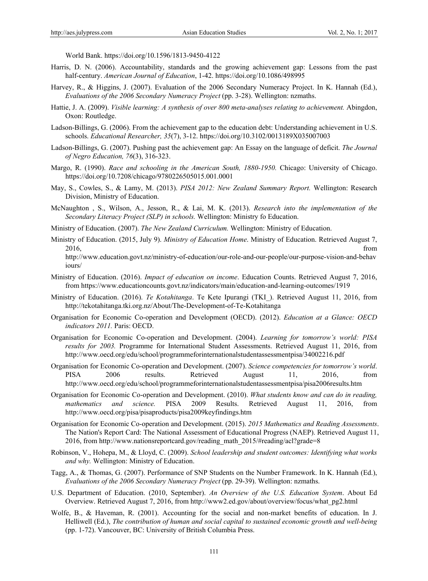World Bank. https://doi.org/10.1596/1813-9450-4122

- Harris, D. N. (2006). Accountability, standards and the growing achievement gap: Lessons from the past half-century. *American Journal of Education*, 1-42. https://doi.org/10.1086/498995
- Harvey, R., & Higgins, J. (2007). Evaluation of the 2006 Secondary Numeracy Project. In K. Hannah (Ed.), *Evaluations of the 2006 Secondary Numeracy Project* (pp. 3-28). Wellington: nzmaths.
- Hattie, J. A. (2009). *Visible learning: A synthesis of over 800 meta-analyses relating to achievement.* Abingdon, Oxon: Routledge.
- Ladson-Billings, G. (2006). From the achievement gap to the education debt: Understanding achievement in U.S. schools. *Educational Researcher, 35*(7), 3-12. https://doi.org/10.3102/0013189X035007003
- Ladson-Billings, G. (2007). Pushing past the achievement gap: An Essay on the language of deficit. *The Journal of Negro Education, 76*(3), 316-323.
- Margo, R. (1990). *Race and schooling in the American South, 1880-1950.* Chicago: University of Chicago. https://doi.org/10.7208/chicago/9780226505015.001.0001
- May, S., Cowles, S., & Lamy, M. (2013). *PISA 2012: New Zealand Summary Report.* Wellington: Research Division, Ministry of Education.
- McNaughton , S., Wilson, A., Jesson, R., & Lai, M. K. (2013). *Research into the implementation of the Secondary Literacy Project (SLP) in schools.* Wellington: Ministry fo Education.
- Ministry of Education. (2007). *The New Zealand Curriculum.* Wellington: Ministry of Education.
- Ministry of Education. (2015, July 9). *Ministry of Education Home*. Ministry of Education. Retrieved August 7,  $2016,$  from

http://www.education.govt.nz/ministry-of-education/our-role-and-our-people/our-purpose-vision-and-behav iours/

- Ministry of Education. (2016). *Impact of education on income*. Education Counts. Retrieved August 7, 2016, from https://www.educationcounts.govt.nz/indicators/main/education-and-learning-outcomes/1919
- Ministry of Education. (2016). *Te Kotahitanga*. Te Kete Ipurangi (TKI\_). Retrieved August 11, 2016, from http://tekotahitanga.tki.org.nz/About/The-Development-of-Te-Kotahitanga
- Organisation for Economic Co-operation and Development (OECD). (2012). *Education at a Glance: OECD indicators 2011.* Paris: OECD.
- Organisation for Economic Co-operation and Development. (2004). *Learning for tomorrow's world: PISA results for 2003.* Programme for International Student Assessments. Retrieved August 11, 2016, from http://www.oecd.org/edu/school/programmeforinternationalstudentassessmentpisa/34002216.pdf
- Organisation for Economic Co-operation and Development. (2007). *Science competencies for tomorrow's world*. PISA 2006 results. Retrieved August 11, 2016, from http://www.oecd.org/edu/school/programmeforinternationalstudentassessmentpisa/pisa2006results.htm
- Organisation for Economic Co-operation and Development. (2010). *What students know and can do in reading, mathematics and science.* PISA 2009 Results. Retrieved August 11, 2016, from http://www.oecd.org/pisa/pisaproducts/pisa2009keyfindings.htm
- Organisation for Economic Co-operation and Development. (2015). *2015 Mathematics and Reading Assessments*. The Nation's Report Card: The National Assessment of Educational Progress (NAEP). Retrieved August 11, 2016, from http://www.nationsreportcard.gov/reading\_math\_2015/#reading/acl?grade=8
- Robinson, V., Hohepa, M., & Lloyd, C. (2009). *School leadership and student outcomes: Identifying what works and why.* Wellington: Ministry of Education.
- Tagg, A., & Thomas, G. (2007). Performance of SNP Students on the Number Framework. In K. Hannah (Ed.), *Evaluations of the 2006 Secondary Numeracy Project* (pp. 29-39). Wellington: nzmaths.
- U.S. Department of Education. (2010, September). *An Overview of the U.S. Education System*. About Ed Overview. Retrieved August 7, 2016, from http://www2.ed.gov/about/overview/focus/what\_pg2.html
- Wolfe, B., & Haveman, R. (2001). Accounting for the social and non-market benefits of education. In J. Helliwell (Ed.), *The contribution of human and social capital to sustained economic growth and well-being* (pp. 1-72). Vancouver, BC: University of British Columbia Press.